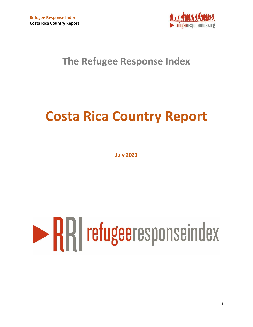

# **Costa Rica Country Report**

**July 2021**

# **RRI** refugeeresponseindex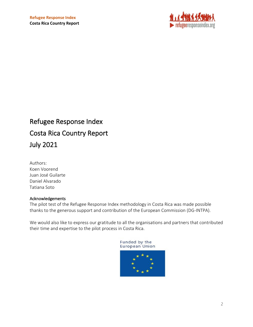

Authors: Koen Voorend Juan José Guilarte Daniel Alvarado Tatiana Soto

#### Acknowledgements

The pilot test of the Refugee Response Index methodology in Costa Rica was made possible thanks to the generous support and contribution of the European Commission (DG-INTPA).

We would also like to express our gratitude to all the organisations and partners that contributed their time and expertise to the pilot process in Costa Rica.

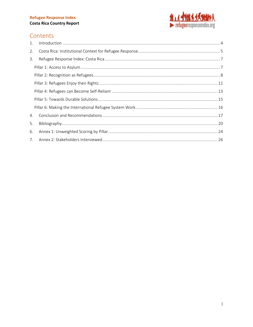

#### Contents

| 2. |  |
|----|--|
| 3. |  |
|    |  |
|    |  |
|    |  |
|    |  |
|    |  |
|    |  |
| 4. |  |
| 5. |  |
| 6. |  |
|    |  |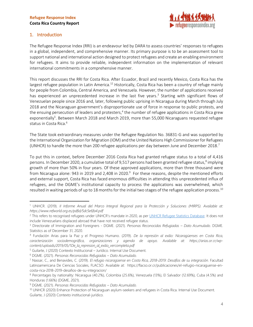

#### <span id="page-3-0"></span>1. Introduction

The Refugee Response Index (RRI) is an endeavour led by DARA to assess countries' responses to refugees in a global, independent, and comprehensive manner. Its primary purpose is to be an assessment tool to support national and international action designed to protect refugees and create an enabling environment for refugees. It aims to provide reliable, independent information on the implementation of relevant international commitments in a comprehensive manner.

This report discusses the RRI for Costa Rica. After Ecuador, Brazil and recently Mexico, Costa Rica has the largest refugee population in Latin America.<sup>12</sup> Historically, Costa Rica has been a country of refuge mainly for people from Colombia, Central America, and Venezuela. However, the number of applications received has experienced an unprecedented increase in the last five years. 3 Starting with significant flows of Venezuelan people since 2016 and, later, following public uprising in Nicaragua during March through July 2018 and the Nicaraguan government's disproportionate use of force in response to public protests, and the ensuing persecution of leaders and protesters,<sup>4</sup> the number of refugee applications in Costa Rica grew exponentially<sup>5</sup>. Between March 2018 and March 2019, more than 55,000 Nicaraguans requested refugee status in Costa Rica. 6

The State took extraordinary measures under the Refugee Regulation No. 36831-G and was supported by the International Organization for Migration (IOM) and the United Nations High Commissioner for Refugees (UNHCR) to handle the more than 200 refugee applications per day between June and December 2018.<sup>7</sup>

To put this in context, before December 2016 Costa Rica had granted refugee status to a total of 4,416 persons. In December 2020, a cumulative total of 9,517 persons had been granted refugee status,<sup>8</sup> implying growth of more than 50% in four years. Of these approved applications, more than three thousand were from Nicaragua alone: 943 in 2019 and 2,408 in 2020. $^9$  For these reasons, despite the mentioned efforts and external support, Costa Rica has faced enormous difficulties in attending this unprecedented influx of refugees, and the DGME's institutional capacity to process the applications was overwhelmed, which resulted in waiting periods of up to 18 months for the initial two stages of the refugee application process. 10

<sup>1</sup> UNHCR. (2019). *II Informe Anual del Marco Integral Regional para la Protección y Soluciones (MIRPS). Available at: https://www.refworld.org.es/pdfid/5dc5e6fa4.pdf*

<sup>&</sup>lt;sup>2</sup> This refers to recognised refugees under UNHCR's mandate in 2020, as pe[r UNHCR Refugee Statistics Database.](https://www.unhcr.org/refugee-statistics/) It does not include Venezuelans displaced abroad that have not received refugee status.

<sup>3</sup> Directorate of Immigration and Foreigners - DGME. (2021). *Personas Reconocidas Refugiadas – Dato Acumulado.* DGME. Statistics as of December 31, 2020.

<sup>4</sup> Fundación Arias para la Paz y el Progreso Humano. (2019). *De la represión al exilio: Nicaragüenses en Costa Rica, caracterización sociodemográfica, organizaciones y agenda de apoyo. Available at: https://arias.or.cr/wpcontent/uploads/2019/05/1De\_la\_represion\_al\_exilio\_vercompleta.pdf*

<sup>5</sup> Guilarte, J (2020) Contexto Institucional – Jurídico. Internal Use Document.

<sup>6</sup> DGME. (2021). *Personas Reconocidas Refugiadas – Dato Acumulado.*

<sup>7</sup> Nassar, C., and Benavides, C. (2019). *El refugio nicaragüense en Costa Rica, 2018-2019: Desafíos de su integración.* Facultad Latinoamericana De Ciencias Sociales, FLACSO. Available at: https://flacso.or.cr/publicaciones/el-refugio-nicaraguense-encosta-rica-2018-2019-desafios-de-su-integracion/

<sup>8</sup> Percentages by nationality: Nicaragua (40.2%), Colombia (25.6%), Venezuela (13%), El Salvador (12.69%), Cuba (4.5%) and Honduras (1.66%) (DGME, 2021).

<sup>9</sup> DGME. (2021). *Personas Reconocidas Refugiadas – Dato Acumulado.*

<sup>&</sup>lt;sup>10</sup> UNHCR (2020) Enhance Protection of Nicaraguan asylum-seekers and refugees in Costa Rica. Internal Use Document. Guilarte, J (2020) Contexto institucional-jurídico.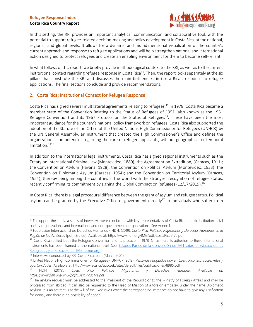

In this setting, the RRI provides an important analytical, communication, and collaborative tool, with the potential to support refugee-related decision-making and policy development in Costa Rica, at the national, regional, and global levels. It allows for a dynamic and multidimensional visualization of the country's current approach and response to refugee applications and will help strengthen national and international action designed to protect refugees and create an enabling environment for them to become self-reliant.

In what follows of this report, we briefly provide methodological context to the RRI, as well as to the current institutional context regarding refugee response in Costa Rica<sup>11</sup>. Then, the report looks separately at the six pillars that constitute the RRI and discusses the main bottlenecks in Costa Rica's response to refugee applications. The final sections conclude and provide recommendations.

#### <span id="page-4-0"></span>2. Costa Rica: Institutional Context for Refugee Response

Costa Rica has signed several multilateral agreements relating to refugees.<sup>12</sup> In 1978, Costa Rica became a member state of the Convention Relating to the Status of Refugees of 1951 (also known as the 1951 Refugee Convention) and its 1967 Protocol on the Status of Refugees<sup>13</sup>. These have been the most important guidance for the country's national policy framework on refugees. Costa Rica also supported the adoption of the Statute of the Office of the United Nations High Commissioner for Refugees (UNHCR) by the UN General Assembly, an instrument that created the High Commissioner's Office and defines the organization's competencies regarding the care of refugee applicants, without geographical or temporal limitation. 1415

In addition to the international legal instruments, Costa Rica has signed regional instruments such as the Treaty on International Criminal Law (Montevideo, 1889); the Agreement on Extradition, (Caracas, 1911); the Convention on Asylum (Havana, 1928); the Convention on Political Asylum (Montevideo, 1933); the Convention on Diplomatic Asylum (Caracas, 1954); and the Convention on Territorial Asylum (Caracas, 1954), thereby being among the countries in the world with the strongest recognition of refugee status, recently confirming its commitment by signing the Global Compact on Refugees (12/17/2019).<sup>16</sup>

In Costa Rica, there is a legal procedural difference between the grant of asylum and refugee status. Political asylum can be granted by the Executive Office of government directly<sup>17</sup> to individuals who suffer from

<sup>11</sup> To support the study, a series of interviews were conducted with key representatives of Costa Rican public institutions, civil society organizations, and international and non-governmental organizations. See Annex 1.

<sup>12</sup> Federación Internacional de Derechos Humanos - FIDH. (2019). *Costa Rica: Políticas Migratorias y Derechos Humanos en la Región de las Américas* [pdf] (3ra ed). Available at: https://www.fidh.org/IMG/pdf/CostaRica517e.pdf

<sup>&</sup>lt;sup>13</sup> Costa Rica ratified both the Refugee Convention and its protocol in 1978. Since then, its adhesion to these international instruments has been framed at the national level. See: Estados Partes de la Convención de 1951 sobre el Estatuto de los [Refugiados y el Protocolo de 1967 \(acnur.org\)](https://www.acnur.org/fileadmin/Documentos/BDL/2001/0506.pdf)

<sup>&</sup>lt;sup>14</sup> Interviews conducted by RRI Costa Rica team (March 2021).

<sup>15</sup> United Nations High Commissioner for Refugees - UNHCR (2012). *Personas refugiadas hoy en Costa Rica: Sus voces, retos y oportunidades*. Available at: http://www.acai.cr/sitioweb/sites/default/files/publicaciones/8985.pdf

<sup>16</sup> FIDH (2019). *Costa Rica: Políticas Migratorias y Derechos Humano. Available at: https://www.fidh.org/IMG/pdf/CostaRica517e.pdf*

 $17$  The asylum request must be addressed to the President of the Republic or to the Ministry of Foreign Affairs and may be processed from abroad. It can also be requested to the Head of Mission of a foreign embassy, under the name Diplomatic Asylum. It is an act that is at the will of the Executive Power; the corresponding instances do not have to give any justification for denial, and there is no possibility of appeal.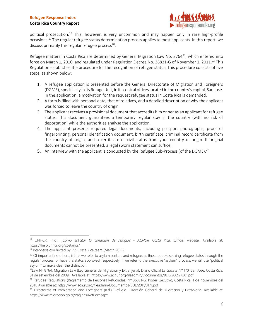#### **Costa Rica Country Report**



political prosecution.<sup>18</sup> This, however, is very uncommon and may happen only in rare high-profile occasions. <sup>19</sup> The regular refugee status determination process applies to most applicants. In this report, we discuss primarily this regular refugee process<sup>20</sup>.

Refugee matters in Costa Rica are determined by General Migration Law No. 8764<sup>21</sup>, which entered into force on March 1, 2010, and regulated under Regulation Decree No. 36831-G of November 1, 2011.<sup>22</sup> This Regulation establishes the procedure for the recognition of refugee status. This procedure consists of five steps, as shown below:

- 1. A refugee application is presented before the General Directorate of Migration and Foreigners (DGME), specifically in its Refuge Unit, in its central offices located in the country's capital, San José. In the application, a motivation for the request refugee status in Costa Rica is demanded.
- 2. A form is filled with personal data, that of relatives, and a detailed description of why the applicant was forced to leave the country of origin.
- 3. The applicant receives a provisional document that accredits him or her as an applicant for refugee status. This document guarantees a temporary regular stay in the country (with no risk of deportation) while the authorities analyse the application.
- 4. The applicant presents required legal documents, including passport photographs, proof of fingerprinting, personal identification document, birth certificate, criminal record certificate from the country of origin, and a certificate of civil status from your country of origin. If original documents cannot be presented, a legal sworn statement can suffice.
- <span id="page-5-0"></span>5. An interview with the applicant is conducted by the Refugee Sub-Process (of the DGME).<sup>23</sup>

<sup>18</sup> UNHCR. (n.d). *¿Cómo solicitar la condición de refugio? - ACNUR Costa Rica.* Official website. Available at: https://help.unhcr.org/costarica/

<sup>&</sup>lt;sup>19</sup> Interviews conducted by RRI Costa Rica team (March 2021).

<sup>&</sup>lt;sup>20</sup> Of important note here, is that we refer to asylum seekers and refugee, as those people seeking refugee status through the regular process, or have this status approved, respectively. If we refer to the executive "asylum" process, we will use "political asylum" to make clear the distinction.

<sup>21</sup>Law Nº 8764. Migration Law (Ley General de Migración y Extranjería). Diario Oficial La Gaceta Nº 170, San José, Costa Rica, 01 de setiembre del 2009. Available at: https://www.acnur.org/fileadmin/Documentos/BDL/2009/7261.pdf

 $^{22}$  Refugee Regulations (Reglamento de Personas Refugiadas) Nº 36831-G. Poder Ejecutivo, Costa Rica, 1 de noviembre del 2011. Available at: https://www.acnur.org/fileadmin/Documentos/BDL/2011/8171.pdf

<sup>&</sup>lt;sup>23</sup> Directorate of Immigration and Foreigners (n.d.). Refugio. Dirección General de Migración y Extranjería. Available at: https://www.migracion.go.cr/Paginas/Refugio.aspx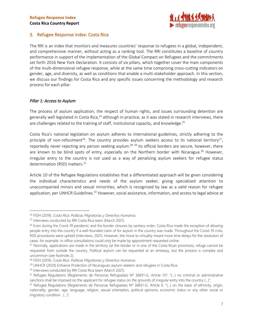

#### 3. Refugee Response Index: Costa Rica

The RRI is an index that monitors and measures countries' response to refugees in a global, independent, and comprehensive manner, without acting as a ranking tool. The RRI constitutes a baseline of country performance in support of the implementation of the Global Compact on Refugees and the commitments set forth 2016 New York Declaration. It consists of six pillars, which together cover the main components of the multi-dimensional refugee response, while at the same time comprising cross-cutting indicators on gender, age, and diversity, as well as conditions that enable a multi-stakeholder approach. In this section, we discuss our findings for Costa Rica and any specific issues concerning the methodology and research process for each pillar.

#### <span id="page-6-0"></span>*Pillar 1: Access to Asylum*

The process of asylum application, the respect of human rights, and issues surrounding detention are generally well legislated in Costa Rica,<sup>24</sup> although in practice, as it was stated in research interviews, there are challenges related to the training of staff, institutional capacity, and knowledge.<sup>25</sup>

Costa Rica's national legislation on asylum adheres to international guidelines, strictly adhering to the principle of non-refoulment<sup>26</sup>. The country provides asylum seekers access to its national territory<sup>27</sup>, reportedly never rejecting any person seeking asylum.<sup>28 29</sup> Its official borders are secure, however, there are known to be blind spots of entry, especially on the Northern border with Nicaragua.<sup>30</sup> However, irregular entry to the country is not used as a way of penalizing asylum seekers for refugee status determination (RSD) matters.<sup>31</sup>

Article 10 of the Refugee Regulations establishes that a differentiated approach will be given considering the individual characteristics and needs of the asylum seeker, giving specialized attention to unaccompanied minors and sexual minorities, which is recognized by law as a valid reason for refugee application, per UNHCR Guidelines.<sup>32</sup> However, social assistance, information, and access to legal advice at

<sup>24</sup> FIDH (2019). *Costa Rica: Políticas Migratorias y Derechos Humanos.*

<sup>&</sup>lt;sup>25</sup> Interviews conducted by RRI Costa Rica team (March 2021).

<sup>&</sup>lt;sup>26</sup> Even during the Covid-19 pandemic and the border closures by sanitary order, Costa Rica made the exception of allowing people entry into the country if a well-founded claim of for asylum in the country was made. Throughout the Covid-19 crisis, RSD procedures were upheld (interviews, 2021). However, the move to virtuality meant more time delays for the resolution of cases, for example, in-office consultations could only be made by appointment requested online.

<sup>&</sup>lt;sup>27</sup> Normally, applications are made in the territory (at the border or in one of the Costa Rican provinces), refuge cannot be requested from outside the country. Political asylum can be requested at an embassy, but the process is complex and uncommon (see footnote 2).

<sup>28</sup> FIDH (2019). *Costa Rica: Políticas Migratorias y Derechos Humanos.*

<sup>&</sup>lt;sup>29</sup> UNHCR (2020) Enhance Protection of Nicaraguan asylum-seekers and refugees in Costa Rica.

<sup>&</sup>lt;sup>30</sup> Interviews conducted by RRI Costa Rica team (March 2021).

<sup>31</sup> Refugee Regulations (Reglamento de Personas Refugiadas) Nº 36831-G. Article 137. "(...) no criminal or administrative sanctions shall be imposed on the applicant for refugee status on the grounds of irregular entry into the country (...)".

 $32$  Refugee Regulations (Reglamento de Personas Refugiadas) Nº 36831-G. Article 6. "(...) on the basis of ethnicity, origin, nationality, gender, age, language, religion, sexual orientation, political opinions, economic status or any other social or migratory condition. (...)".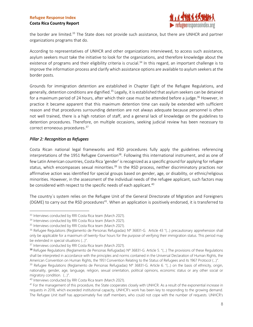

the border are limited.<sup>33</sup> The State does not provide such assistance, but there are UNHCR and partner organizations programs that do.

According to representatives of UNHCR and other organizations interviewed, to access such assistance, asylum seekers must take the initiative to look for the organizations, and therefore knowledge about the existence of programs and their eligibility criteria is crucial.<sup>34</sup> In this regard, an important challenge is to improve the information process and clarify which assistance options are available to asylum seekers at the border posts.

Grounds for immigration detention are established in Chapter Eight of the Refugee Regulations, and generally, detention conditions are dignified.<sup>35</sup> Legally, it is established that asylum seekers can be detained for a maximum period of 24 hours, after which their case must be attended before a judge.<sup>36</sup> However, in practice it became apparent that this maximum detention time can easily be extended with sufficient reason and that procedures surrounding detention are not always adequate because personnel is often not well trained, there is a high rotation of staff, and a general lack of knowledge on the guidelines to detention procedures. Therefore, on multiple occasions, seeking judicial review has been necessary to correct erroneous procedures. 37

#### <span id="page-7-0"></span>*Pillar 2: Recognition as Refugees*

Costa Rican national legal frameworks and RSD procedures fully apply the guidelines referencing interpretations of the 1951 Refugee Convention<sup>38</sup>. Following this international instrument, and as one of few Latin American countries, Costa Rica 'gender' is recognized as a specific ground for applying for refugee status, which encompasses sexual minorities.<sup>39</sup> In the RSD process, neither discriminatory practices nor affirmative action was identified for special groups based on gender, age, or disability, or ethnic/religious minorities. However, in the assessment of the individual needs of the refugee applicant, such factors may be considered with respect to the specific needs of each applicant.<sup>40</sup>

The country´s system relies on the Refugee Unit of the General Directorate of Migration and Foreigners (DGME) to carry out the RSD procedures<sup>41</sup>. When an application is positively endorsed, it is transferred to

<sup>&</sup>lt;sup>33</sup> Interviews conducted by RRI Costa Rica team (March 2021).

<sup>&</sup>lt;sup>34</sup> Interviews conducted by RRI Costa Rica team (March 2021).

<sup>&</sup>lt;sup>35</sup> Interviews conducted by RRI Costa Rica team (March 2021).

<sup>36</sup> Refugee Regulations (Reglamento de Personas Refugiadas) Nº 36831-G. Article 43 "(...) precautionary apprehension shall only be applicable for a maximum of twenty-four hours for the purpose of verifying their immigration status. This period may be extended in special situations (...)".

<sup>&</sup>lt;sup>37</sup> Interviews conducted by RRI Costa Rica team (March 2021).

<sup>38</sup> Refugee Regulations (Reglamento de Personas Refugiadas) Nº 36831-G. Article 5. "(...) The provisions of these Regulations shall be interpreted in accordance with the principles and norms contained in the Universal Declaration of Human Rights, the American Convention on Human Rights, the 1951 Convention Relating to the Status of Refugees and its 1967 Protocol (...)".

<sup>39</sup> Refugee Regulations (Reglamento de Personas Refugiadas) Nº 36831-G. Article 6. "(...) on the basis of ethnicity, origin, nationality, gender, age, language, religion, sexual orientation, political opinions, economic status or any other social or migratory condition. (...)".

<sup>40</sup> Interviews conducted by RRI Costa Rica team (March 2021).

<sup>&</sup>lt;sup>41</sup> For the management of this procedure, the State cooperates closely with UNHCR. As a result of the exponential increase in requests in 2018, which exceeded institutional capacity, UNHCR's work has been key to responding to the growing demand. The Refugee Unit itself has approximately five staff members, who could not cope with the number of requests. UNHCR's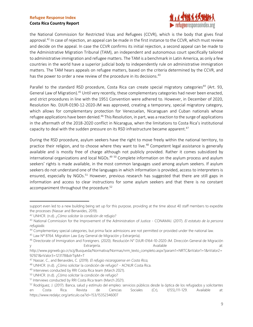

the National Commission for Restricted Visas and Refugees (CCVR), which is the body that gives final approval.<sup>42</sup> In case of rejection, an appeal can be made in the first instance to the CCVR, which must review and decide on the appeal. In case the CCVR confirms its initial rejection, a second appeal can be made to the Administrative Migration Tribunal (TAM), an independent and autonomous court specifically tailored to administrative immigration and refugee matters. The TAM is a benchmark in Latin America, as only a few countries in the world have a superior judicial body to independently rule on administrative immigration matters. The TAM hears appeals on refugee matters, based on the criteria determined by the CCVR, and has the power to order a new review of the procedure in its decisions.<sup>43</sup>

Parallel to the standard RSD procedure, Costa Rica can create special migratory categories<sup>44</sup> (Art. 93, General Law of Migration).<sup>45</sup> Until very recently, these complementary categories had never been enacted, and strict procedures in line with the 1951 Convention were adhered to. However, in December of 2020, Resolution No. DJUR-0190-12-2020-JM was approved, creating a temporary, special migratory category, which allows for complementary protection for Venezuelan, Nicaraguan and Cuban nationals whose refugee applications have been denied.<sup>46</sup> This Resolution, in part, was a reaction to the surge of applications in the aftermath of the 2018-2020 conflict in Nicaragua, when the limitations to Costa Rica's institutional capacity to deal with the sudden pressure on its RSD infrastructure became apparent.<sup>47</sup>

During the RSD procedure, asylum seekers have the right to move freely within the national territory, to practice their religion, and to choose where they want to live.<sup>48</sup> Competent legal assistance is generally available and is mostly free of charge although not publicly provided. Rather it comes subsidized by international organizations and local NGOs.<sup>49 50</sup> Complete information on the asylum process and asylum seekers' rights is made available, in the most common languages used among asylum seekers. If asylum seekers do not understand one of the languages in which information is provided, access to interpreters is ensured, especially by NGOs.<sup>51</sup> However, previous research has suggested that there are still gaps in information and access to clear instructions for some asylum seekers and that there is no constant accompaniment throughout the procedure. 52

support even led to a new building being set up for this purpose, providing at the time about 40 staff members to expedite the processes (Nassar and Benavides, 2019).

<sup>42</sup> UNHCR. (n.d). *¿Cómo solicitar la condición de refugio?*

<sup>43</sup> National Commission for the Improvement of the Administration of Justice - CONAMAJ. (2017). *El estatuto de la persona refugiada*.

<sup>44</sup> Complementary special categories, but prima facie admissions are not permitted or provided under the national law.

<sup>45</sup> Law Nº 8764. Migration Law (Ley General de Migración y Extranjería).

<sup>46</sup> Directorate of Immigration and Foreigners. (2020). Resolución N° DJUR-0164-10-2020-JM. Dirección General de Migración y extranjería. Compositor estable at: extranjería. Available at: extranjería.

http://www.pgrweb.go.cr/scij/Busqueda/Normativa/Normas/nrm\_texto\_completo.aspx?param1=NRTC&nValor1=1&nValor2= 92921&nValor3=123178&strTipM=T

<sup>47</sup> Nassar, C., and Benavides, C. (2019). *El refugio nicaragüense en Costa Rica,*

<sup>48</sup> UNHCR. (n.d). ¿Cómo solicitar la condición de refugio? - ACNUR Costa Rica.

<sup>49</sup> Interviews conducted by RRI Costa Rica team (March 2021).

<sup>50</sup> UNHCR. (n.d). ¿Cómo solicitar la condición de refugio?

<sup>51</sup> Interviews conducted by RRI Costa Rica team (March 2021).

<sup>&</sup>lt;sup>52</sup> Rodríguez, J. (2017). Banca, salud y estímulo del empleo: servicios públicos desde la óptica de los refugiados y solicitantes en Costa Rica. Revista de Ciencias Sociales (Cr), I(155),111-129. Available at: https://www.redalyc.org/articulo.oa?id=153/15352346007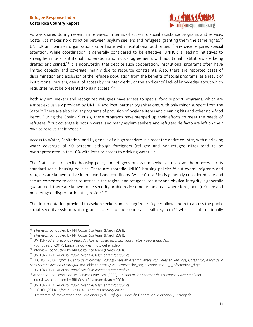

As was shared during research interviews, in terms of access to social assistance programs and services Costa Rica makes no distinction between asylum seekers and refugees, granting them the same rights.<sup>53</sup> UNHCR and partner organizations coordinate with institutional authorities if any case requires special attention. While coordination is generally considered to be effective, UNHCR is leading initiatives to strengthen inter-institutional cooperation and mutual agreements with additional institutions are being drafted and signed.<sup>54</sup> It is noteworthy that despite such cooperation, institutional programs often have limited capacity and coverage, mainly due to resource constraints. Also, there are reported cases of discrimination and exclusion of the refugee population from the benefits of social programs, as a result of institutional barriers, denial of access by counter clerks, or the applicants' lack of knowledge about which requisites must be presented to gain access. 5556

Both asylum seekers and recognized refugees have access to special food support programs, which are almost exclusively provided by UNHCR and local partner organizations, with only minor support from the State. <sup>57</sup> There are also similar programs of provision of hygiene items and cleaning kits and other non-food items. During the Covid-19 crisis, these programs have stepped up their efforts to meet the needs of refugees,<sup>58</sup> but coverage is not universal and many asylum seekers and refugees de facto are left on their own to resolve their needs. 59

Access to Water, Sanitation, and Hygiene is of a high standard in almost the entire country, with a drinking water coverage of 90 percent, although foreigners (refugee and non-refugee alike) tend to be overrepresented in the 10% with inferior access to drinking water.<sup>6061</sup>

The State has no specific housing policy for refugees or asylum seekers but allows them access to its standard social housing policies. There are sporadic UNHCR housing policies, $62$  but overall migrants and refugees are known to live in impoverished conditions. While Costa Rica is generally considered safe and secure compared to other countries in the region, and refugees' security and physical integrity is generally guaranteed, there are known to be security problems in some urban areas where foreigners (refugee and non-refugee) disproportionately reside. 6364

The documentation provided to asylum seekers and recognized refugees allows them to access the public social security system which grants access to the country's health system,<sup>65</sup> which is internationally

<sup>53</sup> Interviews conducted by RRI Costa Rica team (March 2021).

<sup>54</sup> Interviews conducted by RRI Costa Rica team (March 2021).

<sup>55</sup> UNHCR (2012). *Personas refugiadas hoy en Costa Rica: Sus voces, retos y oportunidades*.

<sup>56</sup> Rodríguez, J. (2017). Banca, salud y estímulo del empleo.

<sup>57</sup> Interviews conducted by RRI Costa Rica team (March 2021).

<sup>58</sup> UNHCR (2020, August). *Rapid Needs Assessments infographics.*

<sup>59</sup> TECHO. (2018). *Informe Censo de migrantes nicaragüenses en Asentamientos Populares en San José, Costa Rica, a raíz de la crisis sociopolítica en Nicaragua.* Available at: https://issuu.com/techo\_org/docs/nicaragua\_-\_informefinal\_digital

<sup>60</sup> UNHCR (2020, August). *Rapid Needs Assessments infographics.*

<sup>61</sup> Autoridad Reguladora de los Servicios Públicos. (2020). *Calidad de los Servicios de Acueducto y Alcantarillado.*

<sup>&</sup>lt;sup>62</sup> Interviews conducted by RRI Costa Rica team (March 2021).

<sup>63</sup> UNHCR (2020, August). *Rapid Needs Assessments infographics.*

<sup>64</sup> TECHO. (2018). *Informe Censo de migrantes nicaragüenses.*

<sup>65</sup> Directorate of Immigration and Foreigners (n.d.). *Refugio.* Dirección General de Migración y Extranjería.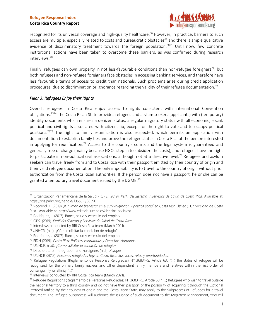#### **Costa Rica Country Report**



recognized for its universal coverage and high-quality healthcare. <sup>66</sup> However, in practice, barriers to such access are multiple, especially related to costs and bureaucratic obstacles<sup>67</sup> and there is ample qualitative evidence of discriminatory treatment towards the foreign population.<sup>6869</sup> Until now, few concrete institutional actions have been taken to overcome these barriers, as was confirmed during research interviews. 70

Finally, refugees can own property in not less-favourable conditions than non-refugee foreigners<sup>71</sup>, but both refugees and non-refugee foreigners face obstacles in accessing banking services, and therefore have less favourable terms of access to credit than nationals. Such problems arise during credit application procedures, due to discrimination or ignorance regarding the validity of their refugee documentation.<sup>72</sup>

#### <span id="page-10-0"></span>*Pillar 3: Refugees Enjoy their Rights*

Overall, refugees in Costa Rica enjoy access to rights consistent with international Convention obligations.<sup>7374</sup> The Costa Rican State provides refugees and asylum seekers (applicants) with (temporary) identity documents which ensures a denizen status: a regular migratory status with all economic, social, political and civil rights associated with citizenship, except for the right to vote and to occupy political positions. <sup>7576</sup> The right to family reunification is also respected, which permits an application with documentation to establish family ties and prove the refugee status in Costa Rica of the person interested in applying for reunification.<sup>77</sup> Access to the country's courts and the legal system is guaranteed and generally free of charge (mainly because NGOs step in to subsidize the costs), and refugees have the right to participate in non-political civil associations, although not at a directive level.<sup>78</sup> Refugees and asylum seekers can travel freely from and to Costa Rica with their passport emitted by their country of origin and their valid refugee documentation. The only impossibility is to travel to the country of origin without prior authorization from the Costa Rican authorities. If the person does not have a passport, he or she can be granted a temporary travel document issued by the DGME.<sup>79</sup>

<sup>66</sup> Organización Panamericana de la Salud - OPS. (2019). *Perfil del Sistema y Servicios de Salud de Costa Rica.* Available at: https://iris.paho.org/handle/10665.2/38590

<sup>67</sup> Voorend, K. (2019). *¿Un imán de bienestar en el sur? Migración y política social en Costa Rica* (1st ed.). Universidad de Costa Rica. Available at: http://www.editorial.ucr.ac.cr/ciencias-sociales/

<sup>68</sup> Rodríguez, J. (2017). Banca, salud y estímulo del empleo.

<sup>69</sup> OPS. (2019). *Perfil del Sistema y Servicios de Salud de Costa Rica.*

<sup>&</sup>lt;sup>70</sup> Interviews conducted by RRI Costa Rica team (March 2021).

<sup>71</sup> UNHCR. (n.d). ¿Cómo solicitar la condición de refugio?

<sup>72</sup> Rodríguez, J. (2017). Banca, salud y estímulo del empleo.

<sup>73</sup> FIDH (2019). *Costa Rica: Políticas Migratorias y Derechos Humanos.*

<sup>74</sup> UNHCR. (n.d). *¿Cómo solicitar la condición de refugio?*

<sup>75</sup> Directorate of Immigration and Foreigners (n.d.). *Refugio.*

<sup>76</sup> UNHCR (2012). *Personas refugiadas hoy en Costa Rica: Sus voces, retos y oportunidades*.

 $77$  Refugee Regulations (Reglamento de Personas Refugiadas) N° 36831-G. Article 63. "(...) the status of refugee will be recognized for the primary family nucleus and other dependent family members and relatives within the first order of consanguinity or affinity (...)".

<sup>78</sup> Interviews conducted by RRI Costa Rica team (March 2021).

<sup>79</sup> Refugee Regulations (Reglamento de Personas Refugiadas) Nº 36831-G. Article 60. "(…) Refugees who wish to travel outside the national territory to a third country and do not have their passport or the possibility of acquiring it through the Optional Protocol ratified by their country of origin and the Costa Rican State, may apply to the Subprocess of Refugees for a travel document. The Refugee Subprocess will authorize the issuance of such document to the Migration Management, who will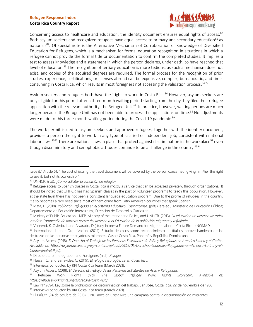#### **Costa Rica Country Report**



Concerning access to healthcare and education, the identity document ensures equal rights of access.<sup>80</sup> Both asylum seekers and recognized refugees have equal access to primary and secondary education $81$  as nationals<sup>82</sup>. Of special note is the Alternative Mechanism of Corroboration of Knowledge of Diversified Education for Refugees, which is a mechanism for formal education recognition in situations in which a refugee cannot provide the formal title or documentation to confirm the completed studies. It implies a test to assess knowledge and a statement in which the person declares, under oath, to have reached that level of education.<sup>83</sup> The recognition of tertiary education is more tedious, as such a mechanism does not exist, and copies of the acquired degrees are required. The formal process for the recognition of prior studies, experience, certifications, or licenses abroad can be expensive, complex, bureaucratic, and timeconsuming in Costa Rica, which results in most foreigners not accessing the validation process. 8485

Asylum seekers and refugees both have the 'right to work' in Costa Rica. <sup>86</sup> However, asylum seekers are only eligible for this permit after a three-month waiting period starting from the day they filed their refugee application with the relevant authority, the Refugee Unit.<sup>87</sup>. In practice, however, waiting periods are much longer because the Refugee Unit has not been able to process the applications on time.<sup>88</sup> No adjustments were made to this three-month waiting period during the Covid-19 pandemic.<sup>89</sup>

The work permit issued to asylum seekers and approved refugees, together with the identity document, provides a person the right to work in any type of salaried or independent job, consistent with national labour laws.<sup>9091</sup> There are national laws in place that protect against discrimination in the workplace<sup>92</sup> even though discriminatory and xenophobic attitudes continue to be a challenge in the country.<sup>9394</sup>

issue it." Article 61. "The cost of issuing the travel document will be covered by the person concerned, giving him/her the right to use it, but not its ownership."

<sup>80</sup> UNHCR. (n.d). *¿Cómo solicitar la condición de refugio?*

<sup>81</sup> Refugee access to Spanish classes in Costa Rica is mostly a service that can be accessed privately, through organizations. It should be noted that UNHCR has had Spanish classes in the past or volunteer programs to teach this population. However, at the state level there has not been a consistent language education program. Due to the profile of refugees in the country, it also becomes a rare need since most of them come from Latin American countries that speak Spanish.

<sup>82</sup> Mata, E. (2018). *Población Refugiada en el Sistema Educativo Costarricense*. [pdf] (1era ed.). Ministerio de Educación Pública; Departamento de Educación Intercultural; Dirección de Desarrollo Curricular.

<sup>83</sup> Ministry of Public Education - MEP, Ministry of the Interior and Police, and UNHCR. (2013). *La educación un derecho de todos y todas: Compendio de normas acerca del derecho a la Educación de la población migrante y refugiada*.

<sup>84</sup> Voorend, K; Oviedo, L and Alvarado, D (study in press) Future Demand for Migrant Labor in Costa Rica. KNOMAD.

<sup>85</sup> International Labour Organization. (2014). Estudio de casos sobre reconocimiento de título y aprovechamiento de las destrezas de las personas trabajadoras migrantes. Casos: Costa Rica, Panamá y República Dominicana.

<sup>86</sup> Asylum Access. (2018). *El Derecho al Trabajo de las Personas Solicitantes de Asilo y Refugiadas en América Latina y el Caribe. Available at: https://asylumaccess.org/wp-content/uploads/2018/06/Derechos-Laborales-Refugiadas-en-America-Latina-y-el-Caribe-final-ESP.pdf.*

<sup>87</sup> Directorate of Immigration and Foreigners (n.d.). *Refugio.*

<sup>88</sup> Nassar, C., and Benavides, C. (2019). *El refugio nicaragüense en Costa Rica.*

<sup>89</sup> Interviews conducted by RRI Costa Rica team (March 2021).

<sup>90</sup> Asylum Access. (2018). *El Derecho al Trabajo de las Personas Solicitantes de Asilo y Refugiadas.*

<sup>91</sup> Refugee Work Rights. (n.d). *The Global Refugee Work Rights Scorecard. Available at: https://refugeeworkrights.org/scorecard/costa-rica/*

<sup>92</sup> Law Nº 2694. Ley sobre la prohibición de discriminación del trabajo. San José, Costa Rica, 22 de noviembre de 1960. 93 Interviews conducted by RRI Costa Rica team (March 2021).

<sup>94</sup> El País.cr. (24 de octubre de 2018). ONU lanza en Costa Rica una campaña contra la discriminación de migrantes*.*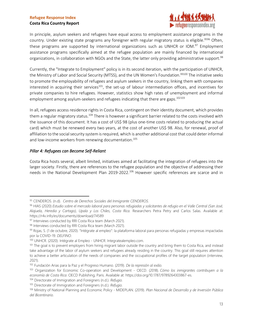

In principle, asylum seekers and refugees have equal access to employment assistance programs in the country. Under existing state programs any foreigner with regular migratory status is eligible.<sup>9596</sup> Often, these programs are supported by international organizations such as UNHCR or IOM.<sup>97</sup> Employment assistance programs specifically aimed at the refugee population are mainly financed by international organizations, in collaboration with NGOs and the State, the latter only providing administrative support.<sup>98</sup>

Currently, the "Integrate to Employment" policy is in its second iteration, with the participation of UNHCR, the Ministry of Labor and Social Security (MTSS), and the UN Women's Foundation.<sup>99100</sup> The initiative seeks to promote the employability of refugees and asylum seekers in the country, linking them with companies interested in acquiring their services<sup>101</sup>, the set-up of labour intermediation offices, and incentives for private companies to hire refugees. However, statistics show high rates of unemployment and informal employment among asylum-seekers and refugees indicating that there are gaps.<sup>102103</sup>

In all, refugees access residence rights in Costa Rica, contingent on their identity document, which provides them a regular migratory status.<sup>104</sup> There is however a significant barrier related to the costs involved with the issuance of this document. It has a cost of US\$ 98 (plus one-time costs related to producing the actual card) which must be renewed every two years, at the cost of another US\$ 98. Also, for renewal, proof of affiliation to the social security system is required, which is another additional cost that could deter informal and low-income workers from renewing documentation. 105

#### <span id="page-12-0"></span>*Pillar 4: Refugees can Become Self-Reliant*

Costa Rica hosts several, albeit limited, initiatives aimed at facilitating the integration of refugees into the larger society. Firstly, there are references to the refugee population and the objective of addressing their needs in the National Development Plan 2019-2022.<sup>106</sup> However specific references are scarce and in

<sup>95</sup> CENDEROS. (n.d). *Centro de Derechos Sociales del Inmigrante CENDEROS.*

<sup>96</sup> HIAS (2020) *Estudio sobre el mercado laboral para personas refugiadas y solicitantes de refugio en el Valle Central (San José, Alajuela, Heredia y Cartago), Upala y Los Chiles, Costa Rica.* Researchers Petra Petry and Carlos Salas. Available at: https://r4v.info/es/documents/download/74589

<sup>97</sup> Interviews conducted by RRI Costa Rica team (March 2021).

<sup>98</sup> Interviews conducted by RRI Costa Rica team (March 2021).

<sup>99</sup> Rojas, S. (1 de octubre, 2020). "Intégrate al empleo": la plataforma laboral para personas refugiadas y empresas impactadas por la COVID-19. *DELFINO*.

<sup>100</sup> UNHCR. (2020). Intégrate al Empleo - UNHCR. Integratealempleo.com.

<sup>&</sup>lt;sup>101</sup> The goal is to prevent employers from hiring migrant labor outside the country and bring them to Costa Rica, and instead take advantage of the labor of asylum seekers and refugees already residing in the country. This goal still requires attention to achieve a better articulation of the needs of companies and the occupational profiles of the target population (interview, 2021).

<sup>102</sup> Fundación Arias para la Paz y el Progreso Humano. (2019). *De la represión al exilio.*

<sup>103</sup> Organization for Economic Co-operation and Development - OECD. (2018). *Cómo los inmigrantes contribuyen a la economía de Costa Rica*. OECD Publishing, Paris. Available at: https://doi.org/10.1787/9789264303867-es.

<sup>104</sup> Directorate of Immigration and Foreigners (n.d.). *Refugio.*

<sup>105</sup> Directorate of Immigration and Foreigners (n.d.). *Refugio.*

<sup>106</sup> Ministry of National Planning and Economic Policy - MIDEPLAN. (2019). *Plan Nacional de Desarrollo y de Inversión Pública del Bicentinario.*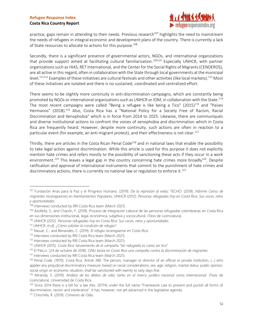#### **Costa Rica Country Report**



practice, gaps remain in attending to their needs. Previous research<sup>107</sup> highlights the need to mainstream the needs of refugees in integral economic and development plans of the country. There is currently a lack of State resources to allocate to actions for this purpose. 108

Secondly, there is a significant presence of governmental actors, NGOs, and international organizations that provide support aimed at facilitating cultural familiarization.<sup>109110</sup> Especially UNHCR, with partner organizations such as HIAS, RET International, and the Center for the Social Rights of Migrants (CENDEROS), are all active in this regard, often in collaboration with the State through local governments at the municipal level.<sup>111112</sup> Examples of these initiatives are cultural festivals and other activities (like local markets).<sup>113</sup> Most of these initiatives are isolated and there is no sustained, coordinated and centralized effort.

There seems to be slightly more continuity in anti-discrimination campaigns, which are constantly being promoted by NGOs or international organizations such as UNHCR or IOM, in collaboration with the State.<sup>114</sup> The most recent campaigns were called "Being a refugee is like being a Tico" (2015)<sup>115</sup> and "Países Hermanos" (2018).<sup>116</sup> Also, Costa Rica has a "National Policy for a Society Free of Racism, Racial Discrimination and Xenophobia" which is in force from 2014 to 2025. Likewise, there are communiqués and diverse institutional actions to confront the voices of xenophobia and discrimination which in Costa Rica are frequently heard. However, despite more continuity, such actions are often in reaction to a particular event (for example, an anti-migrant protest), and their effectiveness is not clear.<sup>117</sup>

Thirdly, there are articles in the Costa Rican Penal Code<sup>118</sup> and in national laws that enable the possibility to take legal action against discrimination. While this article is used for this purpose it does not explicitly mention hate crimes and refers mostly to the possibility of sanctioning these acts if they occur in a work environment.<sup>119</sup> This leaves a legal gap in the country concerning hate crimes more broadly<sup>120</sup>. Despite ratification and approval of international instruments that commit to the punishment of hate crimes and discriminatory actions, there is currently no national law or regulation to enforce it.<sup>121</sup>

<sup>107</sup> Fundación Arias para la Paz y el Progreso Humano. (2019). *De la represión al exilio;* TECHO. (2018). *Informe Censo de migrantes nicaragüenses en Asentamientos Populares;* UNHCR (2012). *Personas refugiadas hoy en Costa Rica: Sus voces, retos y oportunidades*.

<sup>&</sup>lt;sup>108</sup> Interviews conducted by RRI Costa Rica team (March 2021).

<sup>109</sup> Azofeifa, S., and Chacón, F. (2018). Proceso de Integración Laboral de las personas refugiadas colombianas en Costa Rica en sus dimensiones institucional, legal, económica, subjetiva y sociocultural. (Tesis de Licenciatura).

<sup>110</sup> UNHCR (2012). *Personas refugiadas hoy en Costa Rica: Sus voces, retos y oportunidades*.

<sup>111</sup> UNHCR. (n.d). *¿Cómo solicitar la condición de refugio?*

<sup>112</sup> Nassar, C., and Benavides, C. (2019). *El refugio nicaragüense en Costa Rica.*

<sup>113</sup> Interviews conducted by RRI Costa Rica team (March 2021).

<sup>114</sup> Interviews conducted by RRI Costa Rica team (March 2021).

<sup>115</sup> UNHCR (2015). *Costa Rica: lanzamiento de la campaña "Ser refugiado es como ser tico".*

<sup>116</sup> El País.cr. (24 de octubre de 2018). *ONU lanza en Costa Rica una campaña contra la discriminación de migrantes.*

<sup>117</sup> Interviews conducted by RRI Costa Rica team (March 2021).

<sup>118</sup> Penal Code. (1970). Costa Rica. Article 380. The person, manager or director of an official or private institution, (…) who applies any prejudicial discriminatory measure, based on racial considerations, sex, age, religion, marital status, public opinion, social origin or economic situation, shall be sanctioned with twenty to sixty days fine.

<sup>119</sup> Miranda, S. (2019). *Análisis de los delitos de odio, tanto en el marco jurídico nacional como internacional.* (Tesis de Licenciatura). Universidad de Costa Rica.

 $120$  Since 2014 there is a bill for a law (No. 20174) under the full name "Framework Law to prevent and punish all forms of discrimination, racism and intolerance". It has, however, not yet advanced in the legislative agenda.

<sup>121</sup> Chinchilla, R. (2019). *Crímenes de Odio.*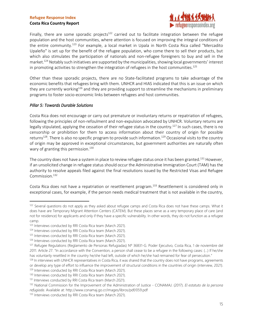

Finally, there are some sporadic projects<sup>122</sup> carried out to facilitate integration between the refugee population and the host communities, where attention is focused on improving the integral conditions of the entire community.<sup>123</sup> For example, a local market in Upala in North Costa Rica called "Mercadito Upaleño" is set up for the benefit of the refugee population, who come there to sell their products, but which also stimulates the participation of nationals and non-refugee foreigners to buy and sell in the market. <sup>124</sup> Notably such initiatives are supported by the municipalities, showing local governments' interest in promoting activities to strengthen the integration of refugees in the host communities.<sup>125</sup>

Other than these sporadic projects, there are no State-facilitated programs to take advantage of the economic benefits that refugees bring with them. UNHCR and HIAS indicated that this is an issue on which they are currently working<sup>126</sup> and they are providing support to streamline the mechanisms in preliminary programs to foster socio-economic links between refugees and host communities.

#### <span id="page-14-0"></span>*Pillar 5: Towards Durable Solutions*

Costa Rica does not encourage or carry out premature or involuntary returns or repatriation of refugees, following the principles of non-refoulment and non-expulsion advocated by UNHCR. Voluntary returns are legally stipulated, applying the cessation of their refugee status in the country.<sup>127</sup> In such cases, there is no censorship or prohibition for them to access information about their country of origin for possible returns<sup>128</sup>. There is also no specific program to provide such information.<sup>129</sup> Occasional visits to the country of origin may be approved in exceptional circumstances, but government authorities are naturally often wary of granting this permission. 130

The country does not have a system in place to review refugee status once it has been granted.<sup>131</sup> However, if an unsolicited change in refugee status should occur the Administrative Immigration Court (TAM) has the authority to resolve appeals filed against the final resolutions issued by the Restricted Visas and Refugee Commission. 132

Costa Rica does not have a repatriation or resettlement program.<sup>133</sup> Resettlement is considered only in exceptional cases, for example, if the person needs medical treatment that is not available in the country,

<sup>&</sup>lt;sup>122</sup> Several questions do not apply as they asked about refugee camps and Costa Rica does not have these camps. What it does have are Temporary Migrant Attention Centers (CATEM). But these places serve as a very temporary place of care (and not for residence) for applicants and only if they have a specific vulnerability. In other words, they do not function as a refugee camp.

<sup>&</sup>lt;sup>123</sup> Interviews conducted by RRI Costa Rica team (March 2021).

<sup>&</sup>lt;sup>124</sup> Interviews conducted by RRI Costa Rica team (March 2021).

<sup>&</sup>lt;sup>125</sup> Interviews conducted by RRI Costa Rica team (March 2021).

<sup>&</sup>lt;sup>126</sup> Interviews conducted by RRI Costa Rica team (March 2021).

<sup>127</sup> Refugee Regulations (Reglamento de Personas Refugiadas) Nº 36831-G. Poder Ejecutivo, Costa Rica, 1 de noviembre del 2011. Article 27. "In accordance with the Convention, a person shall cease to be a refugee in the following cases: (...) If he/she has voluntarily resettled in the country he/she had left, outside of which he/she had remained for fear of persecution."

<sup>&</sup>lt;sup>128</sup> In interviews with UNHCR representatives in Costa Rica, it was shared that the country does not have programs, agreements or develop any type of effort to influence the improvement of structural conditions in the countries of origin (interview, 2021).

<sup>&</sup>lt;sup>129</sup> Interviews conducted by RRI Costa Rica team (March 2021).

<sup>130</sup> Interviews conducted by RRI Costa Rica team (March 2021).

<sup>&</sup>lt;sup>131</sup> Interviews conducted by RRI Costa Rica team (March 2021).

<sup>132</sup> National Commission for the Improvement of the Administration of Justice - CONAMAJ. (2017). *El estatuto de la persona refugiada*. Available at: http://www.conamaj.go.cr/images/libros/pdf/059.pdf

<sup>133</sup> Interviews conducted by RRI Costa Rica team (March 2021).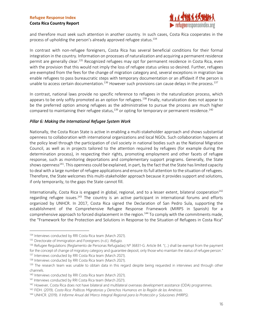

and therefore must seek such attention in another country. In such cases, Costa Rica cooperates in the process of upholding the person's already approved refugee status. 134

In contrast with non-refugee foreigners, Costa Rica has several beneficial conditions for their formal integration in the country. Information on processes of naturalization and acquiring a permanent residence permit are generally clear.<sup>135</sup> Recognized refugees may opt for permanent residence in Costa Rica, even with the provision that this would not imply the loss of refugee status unless so desired. Further, refugees are exempted from the fees for the change of migration category and, several exceptions in migration law enable refugees to pass bureaucratic steps with temporary documentation or an affidavit if the person is unable to access certain documentation.<sup>136</sup> However such provisions can cause delays in the process.<sup>137</sup>

In contrast, national laws provide no specific reference to refugees in the naturalization process, which appears to be only softly promoted as an option for refugees.<sup>138</sup> Finally, naturalization does not appear to be the preferred option among refugees as the administrative to pursue the process are much higher compared to maintaining their refugee status, $^{139}$  or opting for temporary or permanent residence. $^{140}$ 

#### <span id="page-15-0"></span>*Pillar 6: Making the International Refugee System Work*

Nationally, the Costa Rican State is active in enabling a multi-stakeholder approach and shows substantial openness to collaboration with international organizations and local NGOs. Such collaboration happens at the policy level through the participation of civil society in national bodies such as the National Migration Council, as well as in projects tailored to the attention required by refugees (for example during the determination process), in respecting their rights, promoting employment and other facets of refugee response, such as monitoring deportations and complementary support programs. Generally, the State shows openness<sup>141</sup>. This openness could be explained, in part, by the fact that the State has limited capacity to deal with a large number of refugee applications and ensure its full attention to the situation of refugees. Therefore, the State welcomes this multi-stakeholder approach because it provides support and solutions, if only temporarily, to the gaps the State cannot fill.

Internationally, Costa Rica is engaged in global, regional, and to a lesser extent, bilateral cooperation<sup>142</sup> regarding refugee issues.<sup>143</sup> The country is an active participant in international forums and efforts organized by UNHCR. In 2017, Costa Rica signed the Declaration of San Pedro Sula, supporting the establishment of the Comprehensive Refugee Response Framework (MIRPS in Spanish) for a comprehensive approach to forced displacement in the region.<sup>144</sup> To comply with the commitments made, the "Framework for the Protection and Solutions in Response to the Situation of Refugees in Costa Rica"

<sup>134</sup> Interviews conducted by RRI Costa Rica team (March 2021).

<sup>135</sup> Directorate of Immigration and Foreigners (n.d.). *Refugio.*

<sup>136</sup> Refugee Regulations (Reglamento de Personas Refugiadas) Nº 36831-G. Article 84. "(...) shall be exempt from the payment for the concept of change of migratory category and guarantee deposit, only those who maintain the status of refugee person." 137 Interviews conducted by RRI Costa Rica team (March 2021).

<sup>138</sup> Interviews conducted by RRI Costa Rica team (March 2021).

<sup>&</sup>lt;sup>139</sup> The research team was unable to obtain data in this regard despite being requested in interviews and through other channels.

<sup>140</sup> Interviews conducted by RRI Costa Rica team (March 2021).

<sup>&</sup>lt;sup>141</sup> Interviews conducted by RRI Costa Rica team (March 2021).

<sup>&</sup>lt;sup>142</sup> However, Costa Rica does not have bilateral and multilateral overseas development assistance (ODA) programmes.

<sup>143</sup> FIDH. (2019). *Costa Rica: Políticas Migratorias y Derechos Humanos en la Región de las Américas.*

<sup>144</sup> UNHCR. (2019). *II Informe Anual del Marco Integral Regional para la Protección y Soluciones (MIRPS).*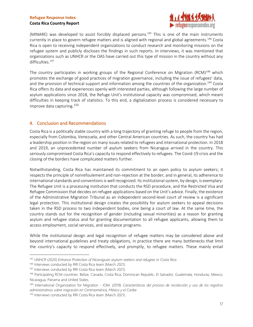#### **Costa Rica Country Report**



(MINARE) was developed to assist forcibly displaced persons. <sup>145</sup> This is one of the main instruments currently in place to govern refugee matters and is aligned with regional and global agreements.<sup>146</sup> Costa Rica is open to receiving independent organizations to conduct research and monitoring missions on the refugee system and publicly discloses the findings in such reports. In interviews, it was mentioned that organizations such as UNHCR or the OAS have carried out this type of mission in the country without any difficulties. 147

The country participates in working groups of the Regional Conference on Migration (RCM)<sup>148</sup> which promotes the exchange of good practices of migration governance, including the issue of refugees' data, and the provision of technical support and information among the countries of the organization.<sup>149</sup> Costa Rica offers its data and experiences openly with interested parties, although following the large number of asylum applications since 2018, the Refuge Unit's institutional capacity was compromised, which meant difficulties in keeping track of statistics. To this end, a digitalization process is considered necessary to improve data capturing. 150

#### <span id="page-16-0"></span>4. Conclusion and Recommendations

Costa Rica is a politically stable country with a long trajectory of granting refuge to people from the region, especially from Colombia, Venezuela, and other Central American countries. As such, the country has had a leadership position in the region on many issues related to refugees and international protection. In 2018 and 2019, an unprecedented number of asylum seekers from Nicaragua arrived in the country. This seriously compromised Costa Rica's capacity to respond effectively to refugees. The Covid-19 crisis and the closing of the borders have complicated matters further.

Notwithstanding, Costa Rica has maintained its commitment to an open policy to asylum seekers; it respects the principle of nonrefoulement and non-rejection at the border; and in general, its adherence to international standards and conventions is well recognized. Its institutional system, by design, is exemplary: The Refugee Unit is a processing institution that conducts the RSD procedure, and the Restricted Visa and Refugee Commission that decides on refugee applications based on the Unit's advice. Finally, the existence of the Administrative Migration Tribunal as an independent second-level court of review is a significant legal protection. This institutional design creates the possibility for asylum seekers to appeal decisions taken in the RSD process to two independent bodies, one being a court of law. At the same time, the country stands out for the recognition of gender (including sexual minorities) as a reason for granting asylum and refugee status and for granting documentation to all refugee applicants, allowing them to access employment, social services, and assistance programs.

While the institutional design and legal recognition of refugee matters may be considered above and beyond international guidelines and treaty obligations, in practice there are many bottlenecks that limit the country's capacity to respond effectively, and promptly, to refugee matters. These mainly entail

<sup>145</sup> UNHCR (2020) *Enhance Protection of Nicaraguan asylum-seekers and refugees in Costa Rica.*

<sup>&</sup>lt;sup>146</sup> Interviews conducted by RRI Costa Rica team (March 2021).

<sup>&</sup>lt;sup>147</sup> Interviews conducted by RRI Costa Rica team (March 2021).

<sup>148</sup> Participating RCM countries: Belize, Canada, Costa Rica, Dominican Republic, El Salvador, Guatemala, Honduras, Mexico, Nicaragua, Panama and United States.

<sup>149</sup> International Organization for Migration - IOM. (2019). *Características del proceso de recolección y uso de los registros administrativos sobre migración en Centroamérica, México y el Caribe*

<sup>&</sup>lt;sup>150</sup> Interviews conducted by RRI Costa Rica team (March 2021).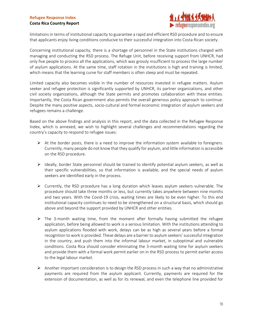

limitations in terms of institutional capacity to guarantee a rapid and efficient RSD procedure and to ensure that applicants enjoy living conditions conducive to their successful integration into Costa Rican society.

Concerning institutional capacity, there is a shortage of personnel in the State institutions charged with managing and conducting the RSD process. The Refuge Unit, before receiving support from UNHCR, had only five people to process all the applications, which was grossly insufficient to process the large number of asylum applications. At the same time, staff rotation in the institutions is high and training is limited, which means that the learning curve for staff members is often steep and must be repeated.

Limited capacity also becomes visible in the number of resources invested in refugee matters. Asylum seeker and refugee protection is significantly supported by UNHCR, its partner organizations, and other civil society organizations, although the State permits and promotes collaboration with these entities. Importantly, the Costa Rican government also permits the overall generous policy approach to continue. Despite the many positive aspects, socio-cultural and formal economic integration of asylum seekers and refugees remains a challenge.

Based on the above findings and analysis in this report, and the data collected in the Refugee Response Index, which is annexed, we wish to highlight several challenges and recommendations regarding the country's capacity to respond to refugee issues:

- $\triangleright$  At the border posts, there is a need to improve the information system available to foreigners. Currently, many people do not know that they qualify for asylum, and little information is accessible on the RSD procedure.
- $\triangleright$  Ideally, border State personnel should be trained to identify potential asylum seekers, as well as their specific vulnerabilities, so that information is available, and the special needs of asylum seekers are identified early in the process.
- $\triangleright$  Currently, the RSD procedure has a long duration which leaves asylum seekers vulnerable. The procedure should take three months or less, but currently takes anywhere between nine months and two years. With the Covid-19 crisis, waiting times are likely to be even higher. To this end institutional capacity continues to need to be strengthened on a structural basis, which should go above and beyond the support provided by UNHCR and other entities.
- $\triangleright$  The 3-month waiting time, from the moment after formally having submitted the refugee application, before being allowed to work is a serious limitation. With the institutions attending to asylum applications flooded with work, delays can be as high as several years before a formal recognition to work is provided. These delays are a barrier to asylum seekers' successful integration in the country, and push them into the informal labour market, in suboptimal and vulnerable conditions. Costa Rica should consider eliminating the 3-month waiting time for asylum seekers and provide them with a formal work permit earlier on in the RSD process to permit earlier access to the legal labour market.
- $\triangleright$  Another important consideration is to design the RSD process in such a way that no administrative payments are required from the asylum applicant. Currently, payments are required for the extension of documentation, as well as for its renewal, and even the telephone line provided for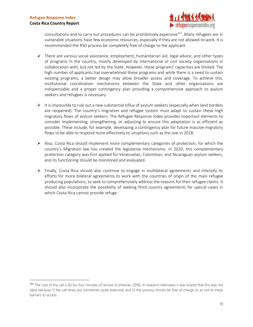

consultations and to carry out procedures can be prohibitively expensive<sup>151</sup>. Many refugees are in vulnerable situations have few economic resources, especially if they are not allowed to work. It is recommended the RSD process be completely free of charge to the applicant.

- $\triangleright$  There are various social assistance, employment, humanitarian aid, legal advice, and other types of programs in the country, mostly developed by international or civil society organizations in collaboration with, but not led by the State. However, these programs' capacities are limited. The high number of applicants has overwhelmed these programs and while there is a need to sustain existing programs, a better design may allow broader access and coverage. To achieve this, institutional coordination mechanisms between the State and other organizations are indispensable and a proper contingency plan providing a comprehensive approach to asylum seekers and refugees is necessary.
- $\triangleright$  It is impossible to rule out a new substantial influx of asylum seekers (especially when land borders are reopened). The country's migration and refugee system must adapt to sustain these high migratory flows of asylum seekers. The Refugee Response Index provides important elements to consider implementing, strengthening, or adjusting to ensure this adaptation is as efficient as possible. These include, for example, developing a contingency plan for future massive migratory flows to be able to respond more effectively to situations such as the one in 2018.
- $\triangleright$  Also, Costa Rica should implement more complementary categories of protection, for which the country's Migration law has created the legislative mechanisms. In 2020, this complementary protection category was first applied for Venezuelan, Colombian, and Nicaraguan asylum seekers, and its functioning should be monitored and evaluated.
- $\triangleright$  Finally, Costa Rica should also continue to engage in multilateral agreements and intensify its efforts for more bilateral agreements to work with the countries of origin of the main refugee producing populations, to seek to comprehensively address the reasons for their refugee claims. It should also incorporate the possibility of seeking third country agreements for special cases in which Costa Rica cannot provide refuge.

<sup>151</sup> The cost of the call is \$3 for four minutes of service (Contreras, 2018). In research interviews it was shared that this was not ideal because 1) the call times are sometimes quite extensive and 2) the process should be free of charge so as not to imply barriers to access.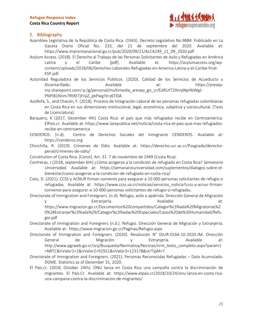

#### <span id="page-19-0"></span>5. Bibliography

- Asamblea Legislativa de la República de Costa Rica. (1943). Decreto Legislativo No.9884. Publicado en La Gaceta Diario Oficial No. 233, del 21 de septiembre del 2020. Available at: https://www.imprentanacional.go.cr/pub/2020/09/21/ALCA249\_21\_09\_2020.pdf
- Asylum Access. (2018). El Derecho al Trabajo de las Personas Solicitantes de Asilo y Refugiadas en América Latina y el Caribe [pdf]. Available at: https://asylumaccess.org/wpcontent/uploads/2018/06/Derechos-Laborales-Refugiadas-en-America-Latina-y-el-Caribe-final-ESP.pdf.
- Autoridad Reguladora de los Servicios Públicos. (2020). Calidad de los Servicios de Acueducto y Alcantarillado. Available at: https://aresepmy.sharepoint.com/:p:/g/personal/multimedia\_aresep\_go\_cr/EdRUtT20nrpNpHbWgJ-PNPIB1Nnm7RtXETjFnjiZ\_pkPwg?e=j6Tl0A
- Azofeifa, S., and Chacón, F. (2018). Proceso de Integración Laboral de las personas refugiadas colombianas en Costa Rica en sus dimensiones institucional, legal, económica, subjetiva y sociocultural. (Tesis de Licenciatura).
- Barquero, K (2017, December 4th) Costa Rica: el país que más refugiados recibe en Centroamérica. ElPaís.cr. Available at: https://www.larepublica.net/noticia/costa-rica-el-pais-que-mas-refugiadosrecibe-en-centroamerica
- CENDEROS. (n.d). Centro de Derechos Sociales del Inmigrante CENDEROS. Available at: https://cenderos.org
- Chinchilla, R. (2019). Crímenes de Odio. Available at: https://derecho.ucr.ac.cr/Posgrado/derechopenal/crimenes-de-odio/
- Constitution of Costa Rica. [Const]. Art. 31. 7 de noviembre de 1949 (Costa Rica).
- Contreras, J (2018, september 6th) ¿Cómo acogerse a la condición de refugiado en Costa Rica? *Semanario Universidad.* Available at: https://semanariouniversidad.com/suplementos/dialogos-sobre-elbienestar/como-acogerse-a-la-condicion-de-refugiado-en-costa-rica/
- Coto, D. (2021). CCSS y ACNUR firman convenio para asegurar a 10 000 personas solicitantes de refugio o refugiadas. Available at: https://www.ccss.sa.cr/noticias/servicios\_noticia?ccss-y-acnur-firmanconvenio-para-asegurar-a-10-000-personas-solicitantes-de-refugio-o-refugiadas.
- Directorate of Immigration and Foreigners. (n.d). Refugio, asilo o apátrida. Dirección General de Migración y estranjería. Available at: https://www.migracion.go.cr/Documentos%20compartidos/Categor%c3%ada%20Migratorias%2 0%28Extranjer%c3%ada%29/Categor%c3%adas%20Especiales/Casos%20de%20Humanidad/Refu gio.pdf
- Directorate of Immigration and Foreigners (n.d.). Refugio. Dirección General de Migración y Extranjería. Available at: https://www.migracion.go.cr/Paginas/Refugio.aspx
- Directorate of Immigration and Foreigners. (2020). Resolución N° DJUR-0164-10-2020-JM. Dirección General de Migración y Extranjería. Available at: http://www.pgrweb.go.cr/scij/Busqueda/Normativa/Normas/nrm\_texto\_completo.aspx?param1 =NRTC&nValor1=1&nValor2=92921&nValor3=123178&strTipM=T
- Directorate of Immigration and Foreigners. (2021). Personas Reconocidas Refugiadas Dato Acumulado. DGME. Statistics as of December 31, 2020.
- El País.cr. (2018, October 24th). ONU lanza en Costa Rica una campaña contra la discriminación de migrantes. El País.Cr. Available at: https://www.elpais.cr/2018/10/24/onu-lanza-en-costa-ricauna-campana-contra-la-discriminacion-de-migrantes/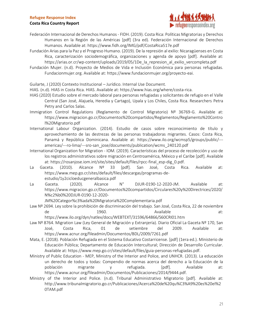#### **Costa Rica Country Report**



- Federación Internacional de Derechos Humanos FIDH. (2019). Costa Rica: Políticas Migratorias y Derechos Humanos en la Región de las Américas [pdf] (3ra ed). Federación Internacional de Derechos Humanos. Available at: https://www.fidh.org/IMG/pdf/CostaRica517e.pdf
- Fundación Arias para la Paz y el Progreso Humano. (2019). De la represión al exilio: Nicaragüenses en Costa Rica, caracterización sociodemográfica, organizaciones y agenda de apoyo [pdf]. Available at: https://arias.or.cr/wp-content/uploads/2019/05/1De la represion al exilio vercompleta.pdf
- Fundación Mujer. (n.d). Proyecto de Medios de Vida e Inclusión Económica para personas refugiadas. Fundacionmujer.org. Available at: https://www.fundacionmujer.org/proyecto-eai.
- Guilarte, J (2020) Contexto Institucional Jurídico. Internal Use Document.
- HIAS. (n.d). HIAS in Costa Rica. HIAS. Available at: https://www.hias.org/where/costa-rica.
- HIAS (2020) Estudio sobre el mercado laboral para personas refugiadas y solicitantes de refugio en el Valle Central (San José, Alajuela, Heredia y Cartago), Upala y Los Chiles, Costa Rica. Researchers Petra Petry and Carlos Salas.
- Immigration Control Regulations (Reglamento de Control Migratorio) Nº 36769-G. Available at: https://www.migracion.go.cr/Documentos%20compartidos/Reglamentos/Reglamento%20Contro l%20Migratorio.pdf
- International Labour Organization. (2014). Estudio de casos sobre reconocimiento de título y aprovechamiento de las destrezas de las personas trabajadoras migrantes. Casos: Costa Rica, Panamá y República Dominicana. Available at: https://www.ilo.org/wcmsp5/groups/public/-- americas/---ro-lima/---sro-san\_jose/documents/publication/wcms\_240120.pdf
- International Organization for Migration IOM. (2019). Características del proceso de recolección y uso de los registros administrativos sobre migración en Centroamérica, México y el Caribe [pdf]. Available at: https://rosanjose.iom.int/site/sites/default/files/rpcc-final\_esp-dig\_0.pdf.
- La Gaceta. (2010). Alcance Nº 33 [pdf]. San José, Costa Rica. Available at: https://www.mep.go.cr/sites/default/files/descargas/programas-deestudio/1y2cicloeducgeneralbasica.pdf
- La Gaceta. (2020). Alcance N° DJUR-0190-12-2020-JM. Available at: https://www.migracion.go.cr/Documentos%20compartidos/Circulares%20y%20Directrices/2020/ N%c2%b0%20DJUR-0190-12-2020-

JM%20Categor%c3%ada%20Migratoria%20Complementaria.pdf

- Law Nº 2694. Ley sobre la prohibición de discriminación del trabajo. San José, Costa Rica, 22 de noviembre de 1960. Constantin at: Available at: Available at: https://www.ilo.org/dyn/natlex/docs/WEBTEXT/31596/64866/S60CRI01.htm
- Law Nº 8764. Migration Law (Ley General de Migración y Extranjería). Diario Oficial La Gaceta Nº 170, San José, Costa Rica, 01 de setiembre del 2009. Available at: https://www.acnur.org/fileadmin/Documentos/BDL/2009/7261.pdf
- Mata, E. (2018). Población Refugiada en el Sistema Educativo Costarricense. [pdf] (1era ed.). Ministerio de Educación Pública; Departamento de Educación Intercultural; Dirección de Desarrollo Curricular. Available at: https://www.mep.go.cr/sites/default/files/guia-personas-refugiadas.pdf.
- Ministry of Public Education MEP, Ministry of the Interior and Police, and UNHCR. (2013). La educación un derecho de todos y todas: Compendio de normas acerca del derecho a la Educación de la población migrante y refugiada. [pdf]. Available at: https://www.acnur.org/fileadmin/Documentos/Publicaciones/2014/9444.pdf.
- Ministry of the Interior and Police. (n.d). Tribunal Administrativo Migratorio [pdf]. Available at: http://www.tribunalmigratorio.go.cr/Publicaciones/Acerca%20de%20qu%C3%A9%20es%20el%2 0TAM.pdf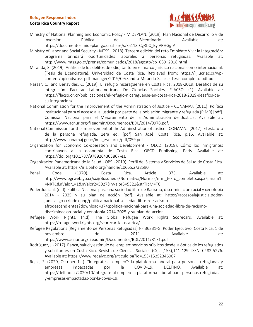#### **Costa Rica Country Report**



- Ministry of National Planning and Economic Policy MIDEPLAN. (2019). Plan Nacional de Desarrollo y de Inversión Pública del Bicentinario. Available at: https://documentos.mideplan.go.cr/share/s/ka113rCgRbC\_BylVRHGgrA
- Ministry of Labor and Social Security MTSS. (2018). Tercera edición del reto Empléate Vivir la Integración: programa brindará oportunidades laborales a personas refugiadas. Available at: http://www.mtss.go.cr/prensa/comunicados/2018/agosto/cp\_039\_2018.html
- Miranda, S. (2019). Análisis de los delitos de odio, tanto en el marco jurídico nacional como internacional. (Tesis de Licenciatura). Universidad de Costa Rica. Retrieved from: https://iij.ucr.ac.cr/wpcontent/uploads/bsk-pdf-manager/2019/09/Sandra-Miranda-Salazar-Tesis-completa.-pdf.pdf
- Nassar, C., and Benavides, C. (2019). El refugio nicaragüense en Costa Rica, 2018-2019: Desafíos de su integración. Facultad Latinoamericana De Ciencias Sociales, FLACSO, (1). Available at: https://flacso.or.cr/publicaciones/el-refugio-nicaraguense-en-costa-rica-2018-2019-desafios-desu-integracion/.
- National Commission for the Improvement of the Administration of Justice CONAMAJ. (2011). Política institucional para el acceso a la justicia por parte de la población migrante y refugiada (PIMR) [pdf]. Comisión Nacional para el Mejoramiento de la Administración de Justicia. Available at: https://www.acnur.org/fileadmin/Documentos/BDL/2014/9978.pdf.
- National Commission for the Improvement of the Administration of Justice CONAMAJ. (2017). El estatuto de la persona refugiada. 1era ed. [pdf] San José: Costa Rica, p.16. Available at: http://www.conamaj.go.cr/images/libros/pdf/059.pdf
- Organization for Economic Co-operation and Development OECD. (2018). Cómo los inmigrantes contribuyen a la economía de Costa Rica. OECD Publishing, Paris. Available at: https://doi.org/10.1787/9789264303867-es.
- Organización Panamericana de la Salud OPS. (2019). Perfil del Sistema y Servicios de Salud de Costa Rica. Available at: https://iris.paho.org/handle/10665.2/38590
- Penal Code. (1970). Costa Rica. Article 373. Available at: http://www.pgrweb.go.cr/scij/Busqueda/Normativa/Normas/nrm\_texto\_completo.aspx?param1 =NRTC&nValor1=1&nValor2=5027&nValor3=5321&strTipM=TC
- Poder Judicial. (n.d). Política Nacional para una sociedad libre de Racismo, discriminación racial y xenofobia 2014 - 2025 y su plan de acción [pdf]. Available at: https://accesoalajusticia.poderjudicial.go.cr/index.php/politica-nacional-sociedad-libre-rde-acismoafrodescendientes?download=374:politica-nacional-para-una-sociedad-libre-de-racismo
	- discriminacion-racial-y-xenofobia-2014-2025-y-su-plan-de-accion.
- Refugee Work Rights. (n.d). The Global Refugee Work Rights Scorecard. Available at: https://refugeeworkrights.org/scorecard/costa-rica/
- Refugee Regulations (Reglamento de Personas Refugiadas) Nº 36831-G. Poder Ejecutivo, Costa Rica, 1 de noviembre del 2011. Available at: https://www.acnur.org/fileadmin/Documentos/BDL/2011/8171.pdf
- Rodríguez, J. (2017). Banca, salud y estímulo del empleo: servicios públicos desde la óptica de los refugiados y solicitantes en Costa Rica. Revista de Ciencias Sociales (Cr), I(155),111-129. ISSN: 0482-5276. Available at: https://www.redalyc.org/articulo.oa?id=153/15352346007
- Rojas, S. (2020, October 1st). "Intégrate al empleo": la plataforma laboral para personas refugiadas y empresas impactadas por la COVID-19. DELFINO. Available at: https://delfino.cr/2020/10/integrate-al-empleo-la-plataforma-laboral-para-personas-refugiadasy-empresas-impactadas-por-la-covid-19.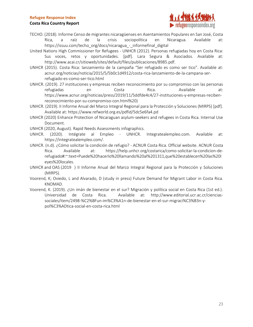#### **Costa Rica Country Report**



- TECHO. (2018). Informe Censo de migrantes nicaragüenses en Asentamientos Populares en San José, Costa Rica, a raíz de la crisis sociopolítica en Nicaragua. Available at: https://issuu.com/techo\_org/docs/nicaragua - informefinal digital
- United Nations High Commissioner for Refugees UNHCR (2012). Personas refugiadas hoy en Costa Rica: Sus voces, retos y oportunidades. [pdf]. Lara Segura & Asociados. Available at: http://www.acai.cr/sitioweb/sites/default/files/publicaciones/8985.pdf.
- UNHCR (2015). Costa Rica: lanzamiento de la campaña "Ser refugiado es como ser tico". Available at: acnur.org/noticias/noticia/2015/5/5b0c1d4912/costa-rica-lanzamiento-de-la-campana-serrefugiado-es-como-ser-tico.html
- UNHCR. (2019). 27 instituciones y empresas reciben reconocimiento por su compromiso con las personas refugiadas en en Costa Rica. Available at: https://www.acnur.org/noticias/press/2019/11/5ddfde4c4/27-instituciones-y-empresas-recibenreconocimiento-por-su-compromiso-con.html%20)
- UNHCR. (2019). II Informe Anual del Marco Integral Regional para la Protección y Soluciones (MIRPS) [pdf]. Available at: https://www.refworld.org.es/pdfid/5dc5e6fa4.pd
- UNHCR (2020) Enhance Protection of Nicaraguan asylum-seekers and refugees in Costa Rica. Internal Use Document.
- UNHCR (2020, August). Rapid Needs Assessments infographics.
- UNHCR. (2020). Intégrate al Empleo UNHCR. Integratealempleo.com. Available at: https://integratealempleo.com/.
- UNHCR. (n.d). ¿Cómo solicitar la condición de refugio? ACNUR Costa Rica. Official website. ACNUR Costa Rica. Available at: https://help.unhcr.org/costarica/como-solicitar-la-condicion-derefugiado#:~:text=Puede%20hacerlo%20llamando%20al%201311,que%20establecen%20las%20l eyes%20locales.
- UNHCR and OAS (2019 ) II Informe Anual del Marco Integral Regional para la Protección y Soluciones (MIRPS).
- Voorend, K; Oviedo, L and Alvarado, D (study in press) Future Demand for Migrant Labor in Costa Rica. KNOMAD.
- Voorend, K. (2019). ¿Un imán de bienestar en el sur? Migración y política social en Costa Rica (1st ed.). Universidad de Costa Rica. Available at: http://www.editorial.ucr.ac.cr/cienciassociales/item/2498-%C2%BFun-im%C3%A1n-de-bienestar-en-el-sur-migraci%C3%B3n-ypol%C3%ADtica-social-en-costa-rica.html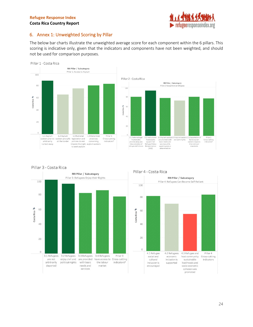Pillar 3 - Costa Rica



#### <span id="page-23-0"></span>6. Annex 1: Unweighted Scoring by Pillar

The below bar charts illustrate the unweighted average score for each component within the 6 pillars. This scoring is indicative only, given that the indicators and components have not been weighted, and should not be used for comparison purposes.









#### Pillar 4 - Costa Rica

#### 24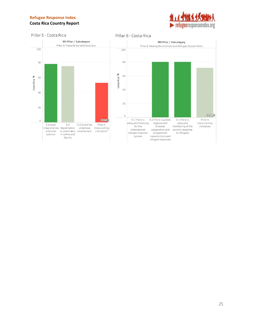#### **Costa Rica Country Report**



#### Pillar 5 - Costa Rica

Pillar 6 - Costa Rica